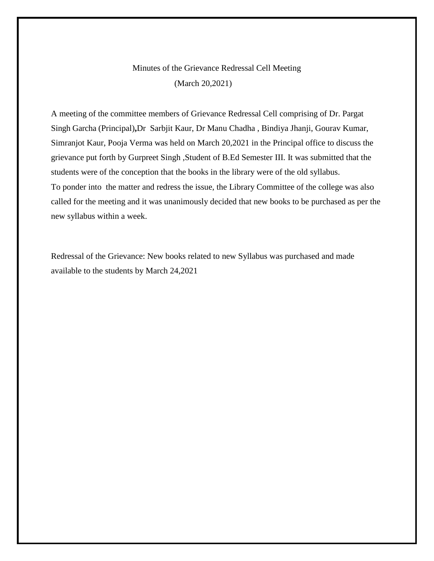### Minutes of the Grievance Redressal Cell Meeting (March 20,2021)

A meeting of the committee members of Grievance Redressal Cell comprising of Dr. Pargat Singh Garcha (Principal)**,**Dr Sarbjit Kaur, Dr Manu Chadha , Bindiya Jhanji, Gourav Kumar, Simranjot Kaur, Pooja Verma was held on March 20,2021 in the Principal office to discuss the grievance put forth by Gurpreet Singh ,Student of B.Ed Semester III. It was submitted that the students were of the conception that the books in the library were of the old syllabus. To ponder into the matter and redress the issue, the Library Committee of the college was also called for the meeting and it was unanimously decided that new books to be purchased as per the new syllabus within a week.

Redressal of the Grievance: New books related to new Syllabus was purchased and made available to the students by March 24,2021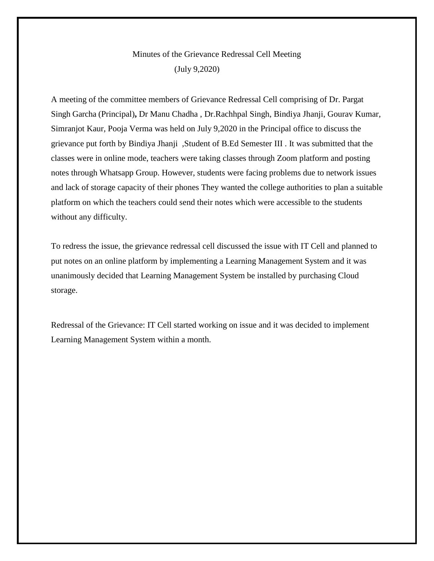## Minutes of the Grievance Redressal Cell Meeting (July 9,2020)

A meeting of the committee members of Grievance Redressal Cell comprising of Dr. Pargat Singh Garcha (Principal)**,** Dr Manu Chadha , Dr.Rachhpal Singh, Bindiya Jhanji, Gourav Kumar, Simranjot Kaur, Pooja Verma was held on July 9,2020 in the Principal office to discuss the grievance put forth by Bindiya Jhanji ,Student of B.Ed Semester III . It was submitted that the classes were in online mode, teachers were taking classes through Zoom platform and posting notes through Whatsapp Group. However, students were facing problems due to network issues and lack of storage capacity of their phones They wanted the college authorities to plan a suitable platform on which the teachers could send their notes which were accessible to the students without any difficulty.

To redress the issue, the grievance redressal cell discussed the issue with IT Cell and planned to put notes on an online platform by implementing a Learning Management System and it was unanimously decided that Learning Management System be installed by purchasing Cloud storage.

Redressal of the Grievance: IT Cell started working on issue and it was decided to implement Learning Management System within a month.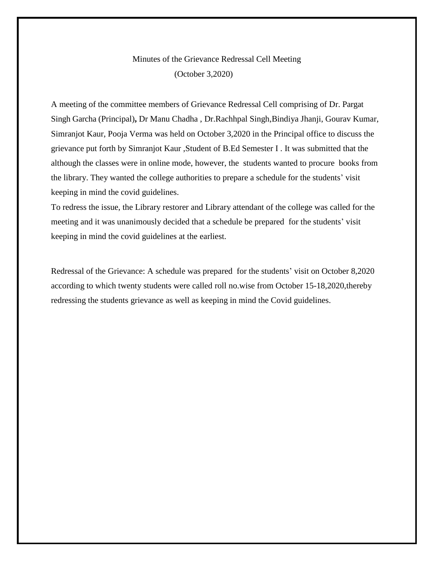# Minutes of the Grievance Redressal Cell Meeting (October 3,2020)

A meeting of the committee members of Grievance Redressal Cell comprising of Dr. Pargat Singh Garcha (Principal)**,** Dr Manu Chadha , Dr.Rachhpal Singh,Bindiya Jhanji, Gourav Kumar, Simranjot Kaur, Pooja Verma was held on October 3,2020 in the Principal office to discuss the grievance put forth by Simranjot Kaur ,Student of B.Ed Semester I . It was submitted that the although the classes were in online mode, however, the students wanted to procure books from the library. They wanted the college authorities to prepare a schedule for the students' visit keeping in mind the covid guidelines.

To redress the issue, the Library restorer and Library attendant of the college was called for the meeting and it was unanimously decided that a schedule be prepared for the students' visit keeping in mind the covid guidelines at the earliest.

Redressal of the Grievance: A schedule was prepared for the students' visit on October 8,2020 according to which twenty students were called roll no.wise from October 15-18,2020,thereby redressing the students grievance as well as keeping in mind the Covid guidelines.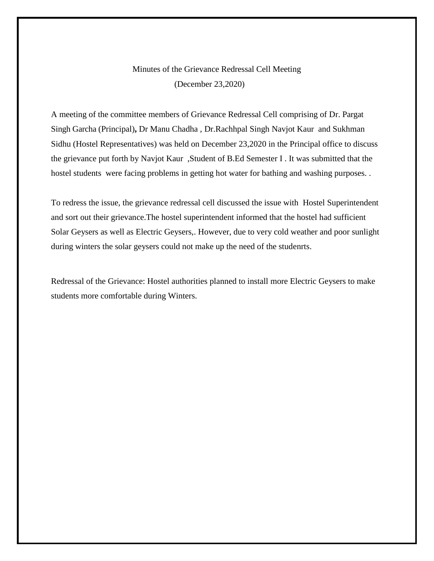### Minutes of the Grievance Redressal Cell Meeting (December 23,2020)

A meeting of the committee members of Grievance Redressal Cell comprising of Dr. Pargat Singh Garcha (Principal)**,** Dr Manu Chadha , Dr.Rachhpal Singh Navjot Kaur and Sukhman Sidhu (Hostel Representatives) was held on December 23,2020 in the Principal office to discuss the grievance put forth by Navjot Kaur ,Student of B.Ed Semester I . It was submitted that the hostel students were facing problems in getting hot water for bathing and washing purposes...

To redress the issue, the grievance redressal cell discussed the issue with Hostel Superintendent and sort out their grievance.The hostel superintendent informed that the hostel had sufficient Solar Geysers as well as Electric Geysers,. However, due to very cold weather and poor sunlight during winters the solar geysers could not make up the need of the studenrts.

Redressal of the Grievance: Hostel authorities planned to install more Electric Geysers to make students more comfortable during Winters.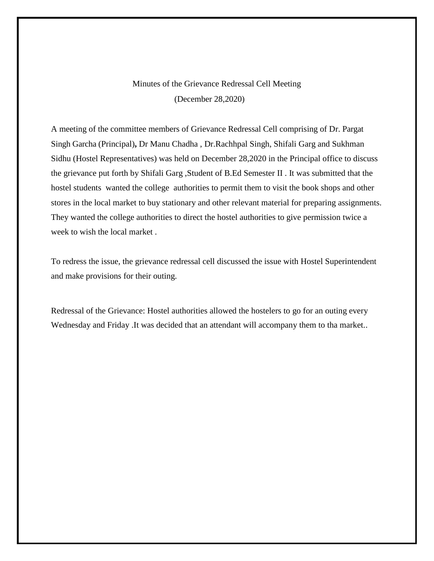## Minutes of the Grievance Redressal Cell Meeting (December 28,2020)

A meeting of the committee members of Grievance Redressal Cell comprising of Dr. Pargat Singh Garcha (Principal)**,** Dr Manu Chadha , Dr.Rachhpal Singh, Shifali Garg and Sukhman Sidhu (Hostel Representatives) was held on December 28,2020 in the Principal office to discuss the grievance put forth by Shifali Garg ,Student of B.Ed Semester II . It was submitted that the hostel students wanted the college authorities to permit them to visit the book shops and other stores in the local market to buy stationary and other relevant material for preparing assignments. They wanted the college authorities to direct the hostel authorities to give permission twice a week to wish the local market .

To redress the issue, the grievance redressal cell discussed the issue with Hostel Superintendent and make provisions for their outing.

Redressal of the Grievance: Hostel authorities allowed the hostelers to go for an outing every Wednesday and Friday .It was decided that an attendant will accompany them to tha market..